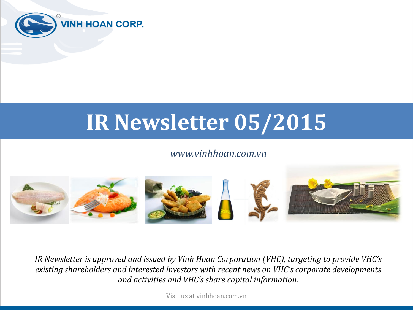

# **IR Newsletter 05/2015**

#### *www.vinhhoan.com.vn*



*IR Newsletter is approved and issued by Vinh Hoan Corporation (VHC), targeting to provide VHC's existing shareholders and interested investors with recent news on VHC's corporate developments and activities and VHC's share capital information.*

Visit us at vinhhoan.com.vn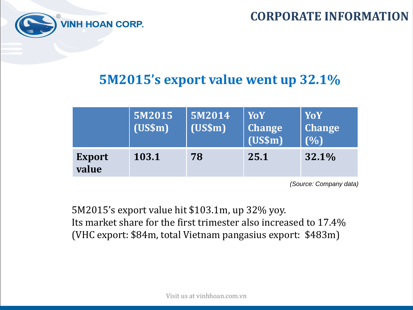



## **5M2015's export value went up 32.1%**

|                        | 5M2015<br>$(US\$ m $)$ | 5M2014<br>(US\$m) | <b>YoY</b><br><b>Change</b><br>(US\$m) | <b>YoY</b><br><b>Change</b><br>(%) |
|------------------------|------------------------|-------------------|----------------------------------------|------------------------------------|
| <b>Export</b><br>value | 103.1                  | 78                | 25.1                                   | 32.1%                              |

*(Source: Company data)*

5M2015's export value hit \$103.1m, up 32% yoy. Its market share for the first trimester also increased to 17.4% (VHC export: \$84m, total Vietnam pangasius export: \$483m)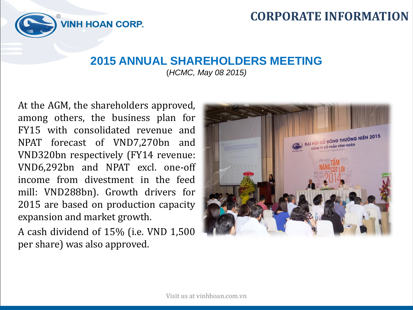

#### **2015 ANNUAL SHAREHOLDERS MEETING**  (*HCMC, May 08 2015)*

At the AGM, the shareholders approved, among others, the business plan for FY15 with consolidated revenue and NPAT forecast of VND7,270bn and VND320bn respectively (FY14 revenue: VND6,292bn and NPAT excl. one-off income from divestment in the feed mill: VND288bn). Growth drivers for 2015 are based on production capacity expansion and market growth.

**VINH HOAN CORP.** 

A cash dividend of 15% (i.e. VND 1,500 per share) was also approved.

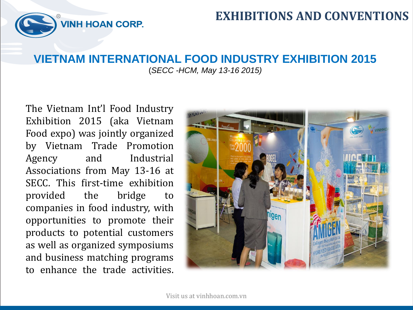

### **EXHIBITIONS AND CONVENTIONS**

#### **VIETNAM INTERNATIONAL FOOD INDUSTRY EXHIBITION 2015** (*SECC -HCM, May 13-16 2015)*

The Vietnam Int'l Food Industry Exhibition 2015 (aka Vietnam Food expo) was jointly organized by Vietnam Trade Promotion Agency and Industrial Associations from May 13-16 at SECC. This first-time exhibition provided the bridge to companies in food industry, with opportunities to promote their products to potential customers as well as organized symposiums and business matching programs to enhance the trade activities.

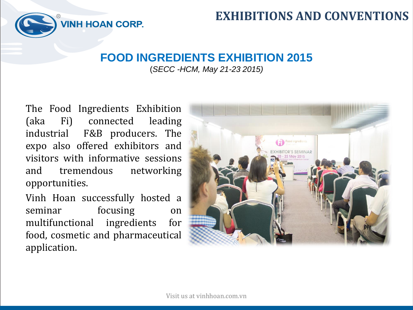

## **EXHIBITIONS AND CONVENTIONS**

#### **FOOD INGREDIENTS EXHIBITION 2015**

(*SECC -HCM, May 21-23 2015)*

The Food Ingredients Exhibition (aka Fi) connected leading industrial F&B producers. The expo also offered exhibitors and visitors with informative sessions and tremendous networking opportunities.

Vinh Hoan successfully hosted a seminar focusing on multifunctional ingredients for food, cosmetic and pharmaceutical application.

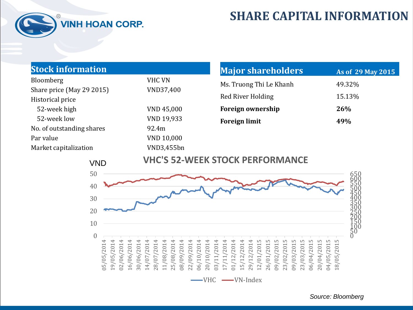

## **SHARE CAPITAL INFORMATION**

| <b>Stock information</b>                      |                   | <b>Major shareholders</b> | As of 29 May 2015 |  |
|-----------------------------------------------|-------------------|---------------------------|-------------------|--|
| Bloomberg                                     | <b>VHC VN</b>     | Ms. Truong Thi Le Khanh   | 49.32%            |  |
| Share price (May 29 2015)                     | VND37,400         |                           |                   |  |
| Historical price                              |                   | Red River Holding         | 15.13%            |  |
| 52-week high                                  | VND 45,000        | Foreign ownership         | 26%               |  |
| 52-week low                                   | VND 19,933        | <b>Foreign limit</b>      | 49%               |  |
| No. of outstanding shares                     | 92.4m             |                           |                   |  |
| Par value                                     | <b>VND 10,000</b> |                           |                   |  |
| Market capitalization                         | VND3,455bn        |                           |                   |  |
| <b>VHC'S 52-WEEK STOCK PERFORMANCE</b><br>VND |                   |                           |                   |  |



 $-VHC \longrightarrow VN-Index$